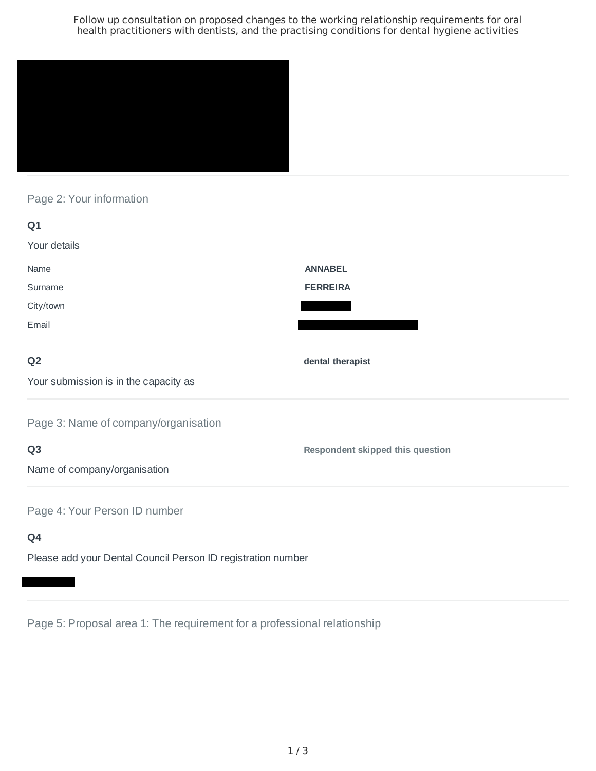Follow up consultation on proposed changes to the working relationship requirements for oral health practitioners with dentists, and the practising conditions for dental hygiene activities



Page 2: Your information

| Q1                                                                        |                                  |
|---------------------------------------------------------------------------|----------------------------------|
| Your details                                                              |                                  |
| Name                                                                      | <b>ANNABEL</b>                   |
| Surname                                                                   | <b>FERREIRA</b>                  |
| City/town                                                                 |                                  |
| Email                                                                     |                                  |
| Q <sub>2</sub>                                                            | dental therapist                 |
| Your submission is in the capacity as                                     |                                  |
| Page 3: Name of company/organisation                                      |                                  |
| Q <sub>3</sub>                                                            | Respondent skipped this question |
| Name of company/organisation                                              |                                  |
| Page 4: Your Person ID number                                             |                                  |
| Q4                                                                        |                                  |
| Black of the late of Bookel Associated Bookers IB as a statute of a could |                                  |

Please add your Dental Council Person ID registration number

Page 5: Proposal area 1: The requirement for a professional relationship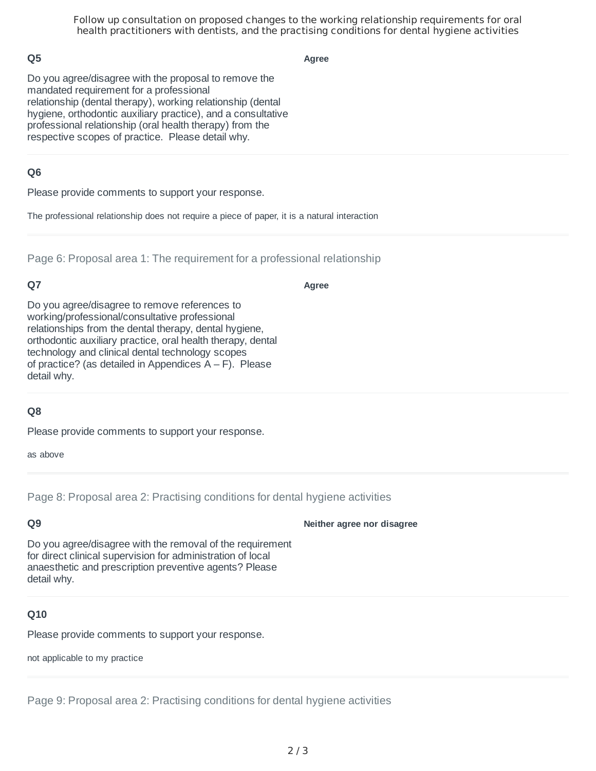Follow up consultation on proposed changes to the working relationship requirements for oral health practitioners with dentists, and the practising conditions for dental hygiene activities

#### **Q5**

**Agree**

Do you agree/disagree with the proposal to remove the mandated requirement for a professional relationship (dental therapy), working relationship (dental hygiene, orthodontic auxiliary practice), and a consultative professional relationship (oral health therapy) from the respective scopes of practice. Please detail why.

#### **Q6**

Please provide comments to support your response.

The professional relationship does not require a piece of paper, it is a natural interaction

Page 6: Proposal area 1: The requirement for a professional relationship

### **Q7**

**Agree**

Do you agree/disagree to remove references to working/professional/consultative professional relationships from the dental therapy, dental hygiene, orthodontic auxiliary practice, oral health therapy, dental technology and clinical dental technology scopes of practice? (as detailed in Appendices  $A - F$ ). Please detail why.

## **Q8**

Please provide comments to support your response.

as above

Page 8: Proposal area 2: Practising conditions for dental hygiene activities

# **Q9**

**Neither agree nor disagree**

Do you agree/disagree with the removal of the requirement for direct clinical supervision for administration of local anaesthetic and prescription preventive agents? Please detail why.

# **Q10**

Please provide comments to support your response.

not applicable to my practice

Page 9: Proposal area 2: Practising conditions for dental hygiene activities